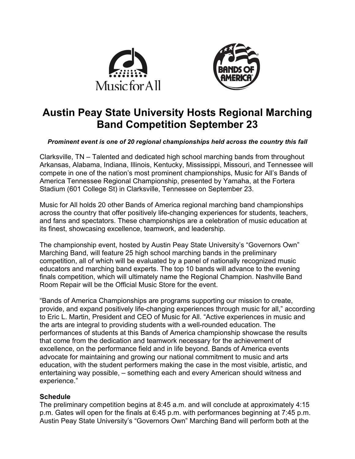



# **Austin Peay State University Hosts Regional Marching Band Competition September 23**

### *Prominent event is one of 20 regional championships held across the country this fall*

Clarksville, TN – Talented and dedicated high school marching bands from throughout Arkansas, Alabama, Indiana, Illinois, Kentucky, Mississippi, Missouri, and Tennessee will compete in one of the nation's most prominent championships, Music for All's Bands of America Tennessee Regional Championship, presented by Yamaha, at the Fortera Stadium (601 College St) in Clarksville, Tennessee on September 23.

Music for All holds 20 other Bands of America regional marching band championships across the country that offer positively life-changing experiences for students, teachers, and fans and spectators. These championships are a celebration of music education at its finest, showcasing excellence, teamwork, and leadership.

The championship event, hosted by Austin Peay State University's "Governors Own" Marching Band, will feature 25 high school marching bands in the preliminary competition, all of which will be evaluated by a panel of nationally recognized music educators and marching band experts. The top 10 bands will advance to the evening finals competition, which will ultimately name the Regional Champion. Nashville Band Room Repair will be the Official Music Store for the event.

"Bands of America Championships are programs supporting our mission to create, provide, and expand positively life-changing experiences through music for all," according to Eric L. Martin, President and CEO of Music for All. "Active experiences in music and the arts are integral to providing students with a well-rounded education. The performances of students at this Bands of America championship showcase the results that come from the dedication and teamwork necessary for the achievement of excellence, on the performance field and in life beyond. Bands of America events advocate for maintaining and growing our national commitment to music and arts education, with the student performers making the case in the most visible, artistic, and entertaining way possible, – something each and every American should witness and experience."

### **Schedule**

The preliminary competition begins at 8:45 a.m. and will conclude at approximately 4:15 p.m. Gates will open for the finals at 6:45 p.m. with performances beginning at 7:45 p.m. Austin Peay State University's "Governors Own" Marching Band will perform both at the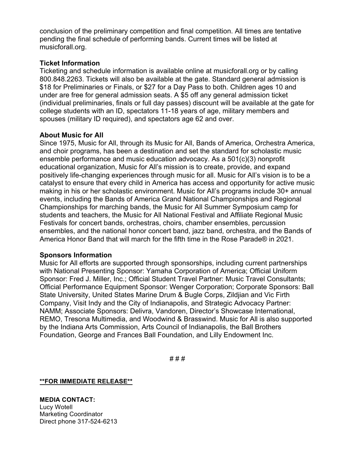conclusion of the preliminary competition and final competition. All times are tentative pending the final schedule of performing bands. Current times will be listed at musicforall.org.

### **Ticket Information**

Ticketing and schedule information is available online at musicforall.org or by calling 800.848.2263. Tickets will also be available at the gate. Standard general admission is \$18 for Preliminaries or Finals, or \$27 for a Day Pass to both. Children ages 10 and under are free for general admission seats. A \$5 off any general admission ticket (individual preliminaries, finals or full day passes) discount will be available at the gate for college students with an ID, spectators 11-18 years of age, military members and spouses (military ID required), and spectators age 62 and over.

## **About Music for All**

Since 1975, Music for All, through its Music for All, Bands of America, Orchestra America, and choir programs, has been a destination and set the standard for scholastic music ensemble performance and music education advocacy. As a 501(c)(3) nonprofit educational organization, Music for All's mission is to create, provide, and expand positively life-changing experiences through music for all. Music for All's vision is to be a catalyst to ensure that every child in America has access and opportunity for active music making in his or her scholastic environment. Music for All's programs include 30+ annual events, including the Bands of America Grand National Championships and Regional Championships for marching bands, the Music for All Summer Symposium camp for students and teachers, the Music for All National Festival and Affiliate Regional Music Festivals for concert bands, orchestras, choirs, chamber ensembles, percussion ensembles, and the national honor concert band, jazz band, orchestra, and the Bands of America Honor Band that will march for the fifth time in the Rose Parade® in 2021.

### **Sponsors Information**

Music for All efforts are supported through sponsorships, including current partnerships with National Presenting Sponsor: Yamaha Corporation of America; Official Uniform Sponsor: Fred J. Miller, Inc.; Official Student Travel Partner: Music Travel Consultants; Official Performance Equipment Sponsor: Wenger Corporation; Corporate Sponsors: Ball State University, United States Marine Drum & Bugle Corps, Zildjian and Vic Firth Company, Visit Indy and the City of Indianapolis, and Strategic Advocacy Partner: NAMM; Associate Sponsors: Delivra, Vandoren, Director's Showcase International, REMO, Tresona Multimedia, and Woodwind & Brasswind. Music for All is also supported by the Indiana Arts Commission, Arts Council of Indianapolis, the Ball Brothers Foundation, George and Frances Ball Foundation, and Lilly Endowment Inc.

# # #

**\*\*FOR IMMEDIATE RELEASE\*\***

**MEDIA CONTACT:** Lucy Wotell Marketing Coordinator Direct phone 317-524-6213